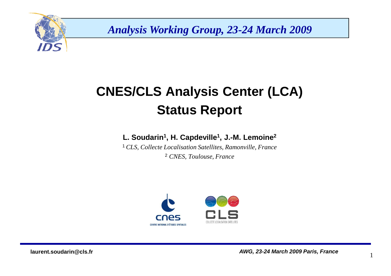

*Analysis Working Group, 23-24 March 2009*

# **CNES/CLS Analysis Center (LCA)Status Report**

#### **L. Soudarin<sup>1</sup>, H. Capdeville1 , J.-M. Lemoine2**

 <sup>1</sup>*CLS, Collecte Localisation Satellites, Ramonville, France*2 *CNES, Toulouse, France*



1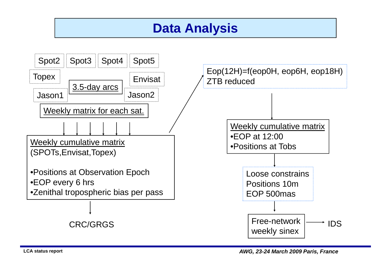### **Data Analysis**

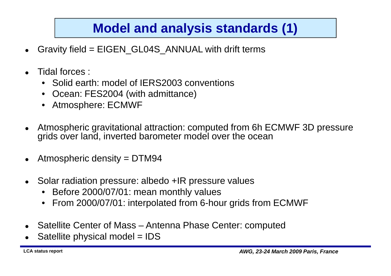# **Model and analysis standards (1)**

- $\bullet$ Gravity field = EIGEN\_GL04S\_ANNUAL with drift terms
- $\bullet$  Tidal forces :
	- •Solid earth: model of IERS2003 conventions
	- •Ocean: FES2004 (with admittance)
	- •Atmosphere: ECMWF
- $\bullet$  Atmospheric gravitational attraction: computed from 6h ECMWF 3D pressure grids over land, inverted barometer model over the ocean
- $\bullet$ Atmospheric density = DTM94
- $\bullet$  Solar radiation pressure: albedo +IR pressure values
	- $\bullet$ Before 2000/07/01: mean monthly values
	- •From 2000/07/01: interpolated from 6-hour grids from ECMWF
- Satellite Center of Mass Antenna Phase Center: computed
- $\bullet$ Satellite physical model = IDS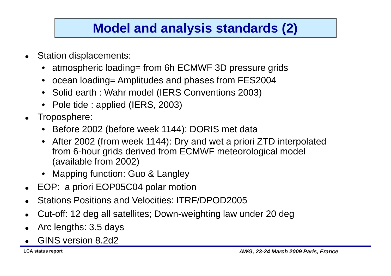# **Model and analysis standards (2)**

- Station displacements:
	- •atmospheric loading= from 6h ECMWF 3D pressure grids
	- $\bullet$ ocean loading= Amplitudes and phases from FES2004
	- •Solid earth : Wahr model (IERS Conventions 2003)
	- Pole tide : applied (IERS, 2003)
- Troposphere:
	- Before 2002 (before week 1144): DORIS met data
	- After 2002 (from week 1144): Dry and wet a priori ZTD interpolated from 6-hour grids derived from ECMWF meteorological model (available from 2002)
	- Mapping function: Guo & Langley
- EOP: a priori EOP05C04 polar motion
- $\bullet$ Stations Positions and Velocities: ITRF/DPOD2005
- $\bullet$ Cut-off: 12 deg all satellites; Down-weighting law under 20 deg
- $\bullet$ Arc lengths: 3.5 days
- $\bullet$ GINS version 8.2d2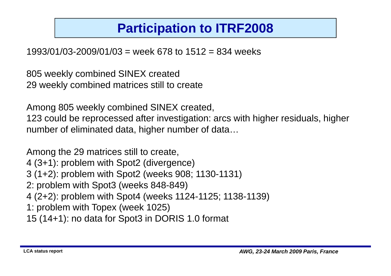# **Participation to ITRF2008**

1993/01/03-2009/01/03 = week 678 to 1512 = 834 weeks

805 weekly combined SINEX created29 weekly combined matrices still to create

Among 805 weekly combined SINEX created,

123 could be reprocessed after investigation: arcs with higher residuals, higher number of eliminated data, higher number of data…

Among the 29 matrices still to create,4 (3+1): problem with Spot2 (divergence)3 (1+2): problem with Spot2 (weeks 908; 1130-1131)2: problem with Spot3 (weeks 848-849) 4 (2+2): problem with Spot4 (weeks 1124-1125; 1138-1139)1: problem with Topex (week 1025)15 (14+1): no data for Spot3 in DORIS 1.0 format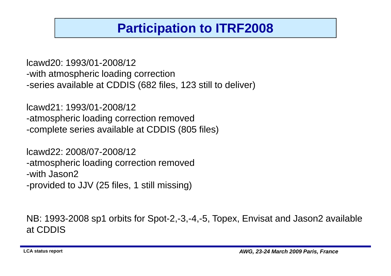# **Participation to ITRF2008**

lcawd20: 1993/01-2008/12 -with atmospheric loading correction-series available at CDDIS (682 files, 123 still to deliver)

lcawd21: 1993/01-2008/12 -atmospheric loading correction removed-complete series available at CDDIS (805 files)

lcawd22: 2008/07-2008/12 -atmospheric loading correction removed-with Jason2-provided to JJV (25 files, 1 still missing)

NB: 1993-2008 sp1 orbits for Spot-2,-3,-4,-5, Topex, Envisat and Jason2 available at CDDIS

**LCA status report**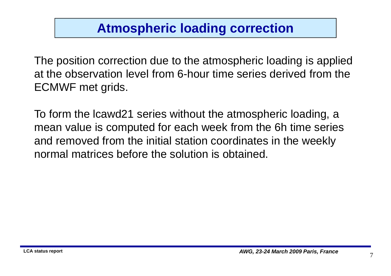# **Atmospheric loading correction**

The position correction due to the atmospheric loading is applied at the observation level from 6-hour time series derived from the ECMWF met grids.

To form the lcawd21 series without the atmospheric loading, a mean value is computed for each week from the 6h time seriesand removed from the initial station coordinates in the weekly<br>parmal matrices befare the solution is obtoined normal matrices before the solution is obtained.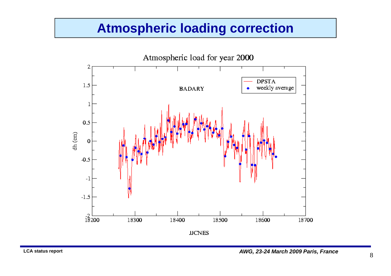#### **Atmospheric loading correction**

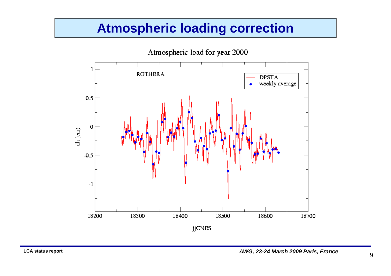#### **Atmospheric loading correction**

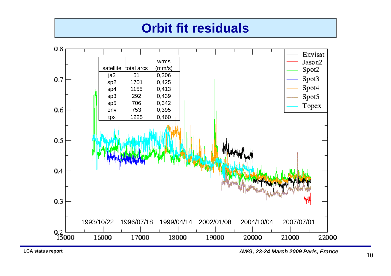#### **Orbit fit residuals**



**LCA status report**

**AWG, 23-24 March 2009 Paris, France**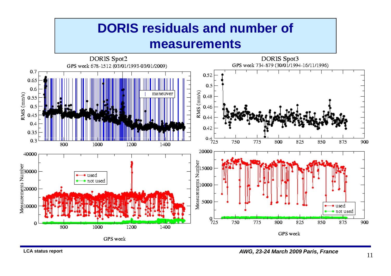#### **DORIS residuals and number of measurements**

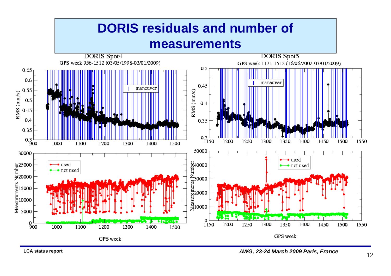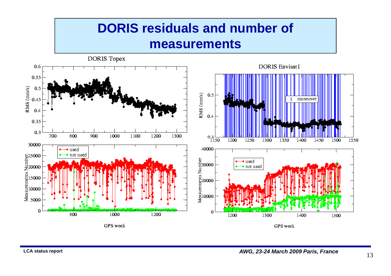## **DORIS residuals and number of measurements**

DORIS Topex **DORIS Envisat1** 0.6 0.55 RMS (mm/s)  $0.5$ RMS (mm/s)  $0.5$ 0.45 maneuve:  $0.4$  $0.4$ 0.35  $0.3$  $\overline{700}$  $800$  $900$  $1000$  $\boxed{1100}$  $\boxed{1200}$ 1300  $0.3 \frac{1}{1150}$ 1200 1550 1250 1300 1350 1400 1450 1500 30000 40000  $\bullet$  used b25000<br>
E20000<br>
E20000<br>
E15000<br>
E310000<br>
E5000 not used Messurements Number<br>20000<br>10000<br>0000  $\bullet$  used  $\bullet$  not used 0  $\overline{0}$  $800$ 1000 1200 1200 1300 1400 1500 GPS week GPS week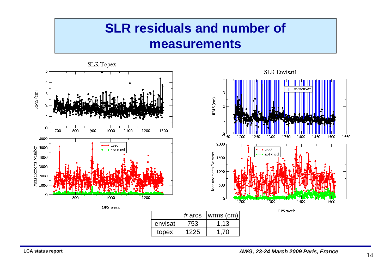## **SLR residuals and number of measurements**

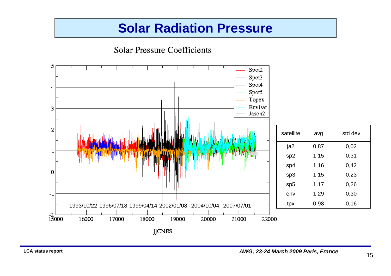**Solar Pressure Coefficients** 5 Spot2 Spot3 Spot4 4 Spot5 Topex Envisat 3 Jason2 2 satellite avg std dev  $|a2 \t| 0,87 \t| 0,02$  $\mathbf 1$  $sp2$  1,15 0,31  $sp4$  1,16 0,42  $\bf{0}$ sp3  $1,15$  0,23 sp5 | 1,17 | 0,26 env |  $1,29$  |  $0,30$  $-1$ tpx 0,98 0,16 1993/10/22 1996/07/18 1999/04/14 2002/01/08 2004/10/04 2007/07/01 $\frac{-2}{15000}$ 16000 17000 18000 19000 20000 21000 22000 jjCNES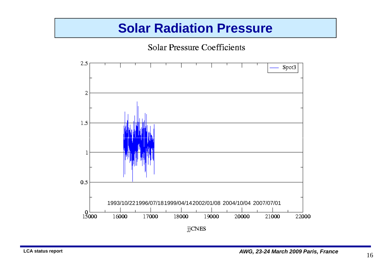Solar Pressure Coefficients

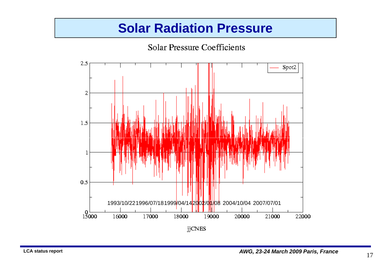Solar Pressure Coefficients

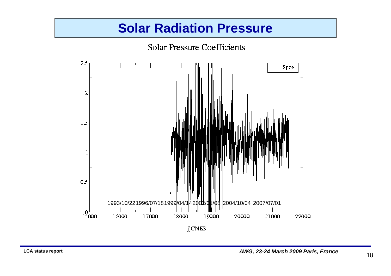

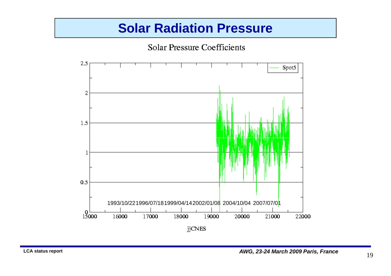Solar Pressure Coefficients

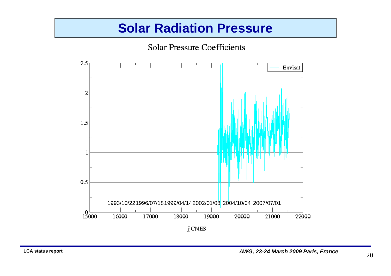Solar Pressure Coefficients

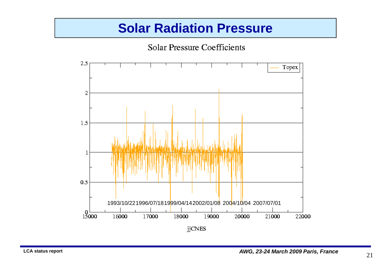Solar Pressure Coefficients

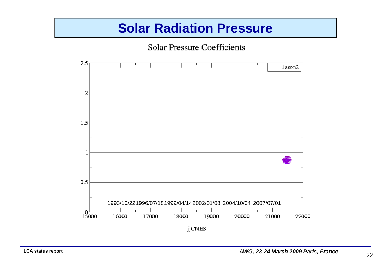Solar Pressure Coefficients

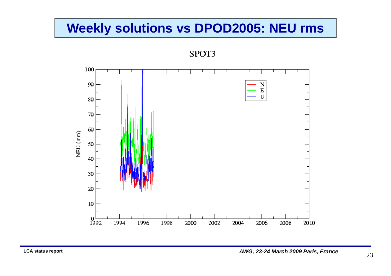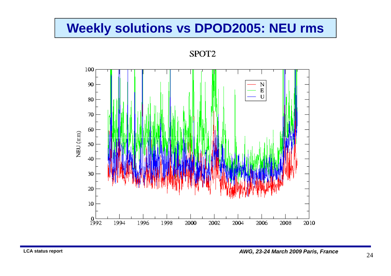

SPOT<sub>2</sub>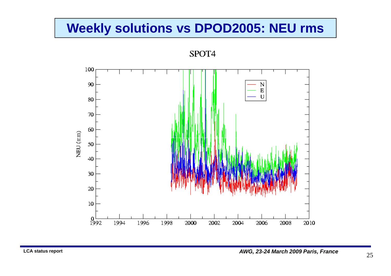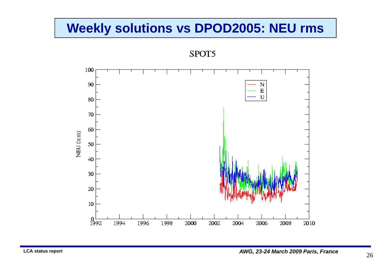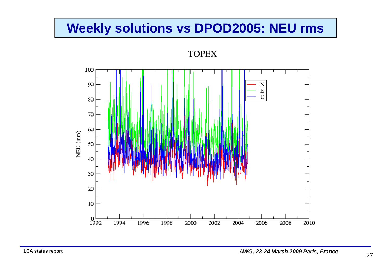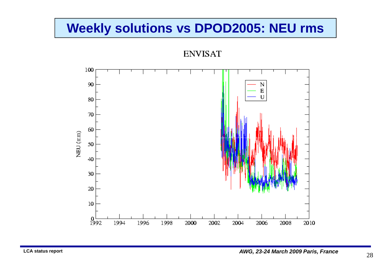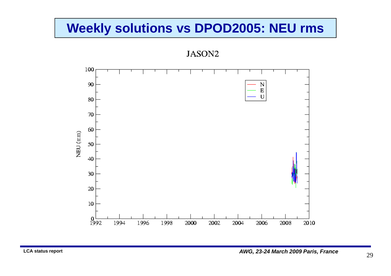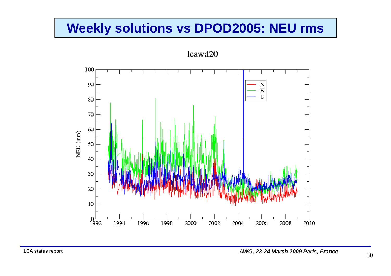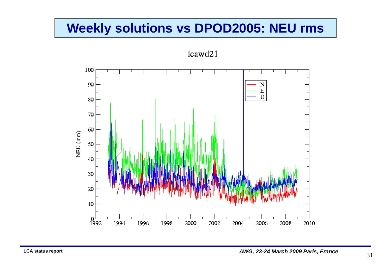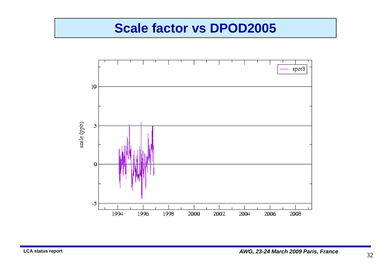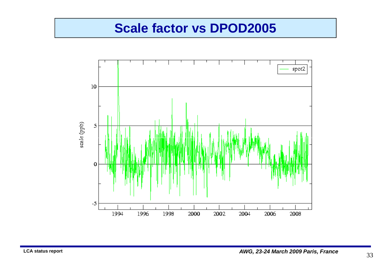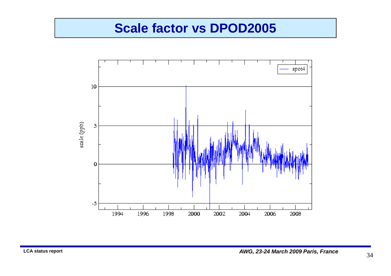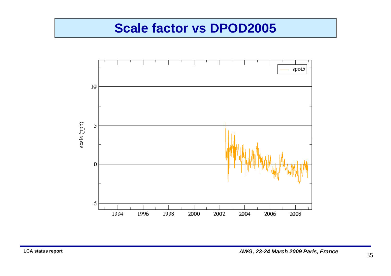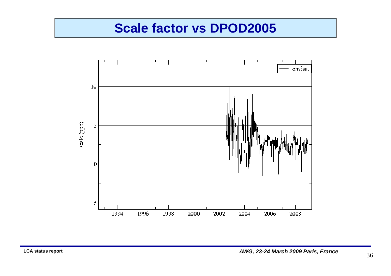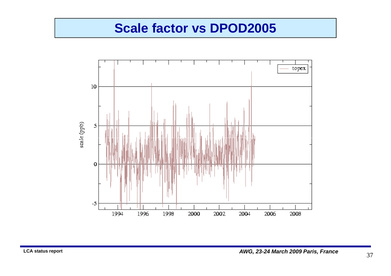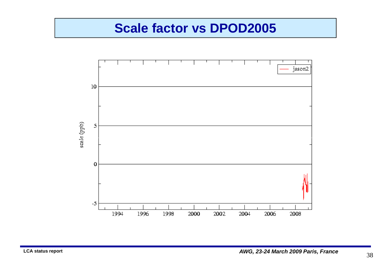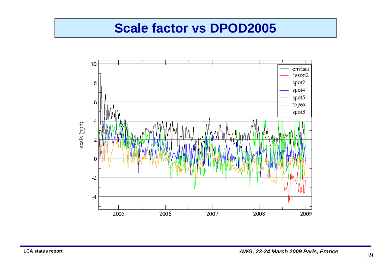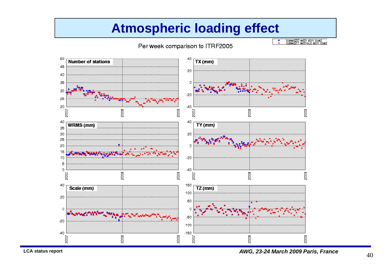#### **Atmospheric loading effect**

#### Per week comparison to ITRF2005

lcawd20 with atm load.<br>Icawd21 without atm load



**AWG, 23-24 March 2009 Paris, France**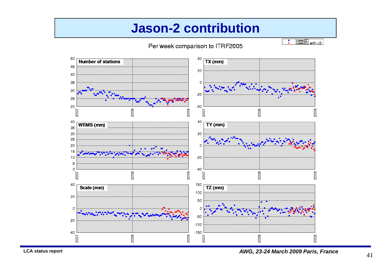#### **Jason-2 contribution**

#### Per week comparison to ITRF2005

 $\begin{array}{c} \text{cawd21} \\ \text{cawd22} \\ \text{with J2} \end{array}$ Ŧ



**LCA status report**

**AWG, 23-24 March 2009 Paris, France**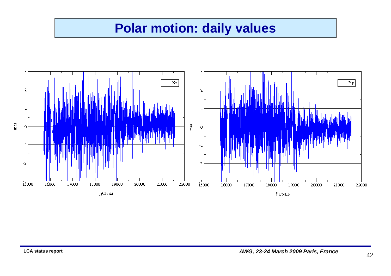#### **Polar motion: daily values**



**AWG, 23-24 March 2009 Paris, France**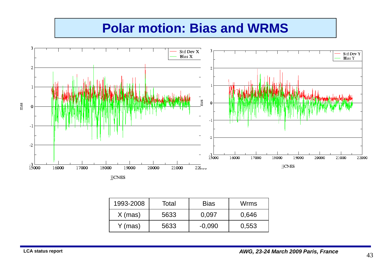## **Polar motion: Bias and WRMS**



| 1993-2008 | Total | <b>Bias</b> | Wrms  |
|-----------|-------|-------------|-------|
| $X$ (mas) | 5633  | 0.097       | 0,646 |
| Y (mas)   | 5633  | $-0.090$    | 0,553 |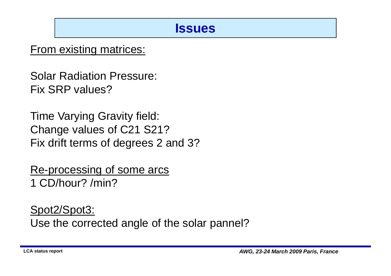#### **Issues**

#### From existing matrices:

Solar Radiation Pressure: Fix SRP values?

Time Varying Gravity field: Change values of C21 S21? Fix drift terms of degrees 2 and 3?

Re-processing of some arcs1 CD/hour? /min?

Spot2/Spot3:

Use the corrected angle of the solar pannel?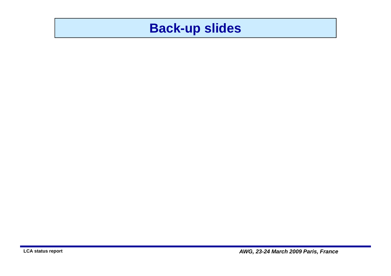#### **Back-up slides**